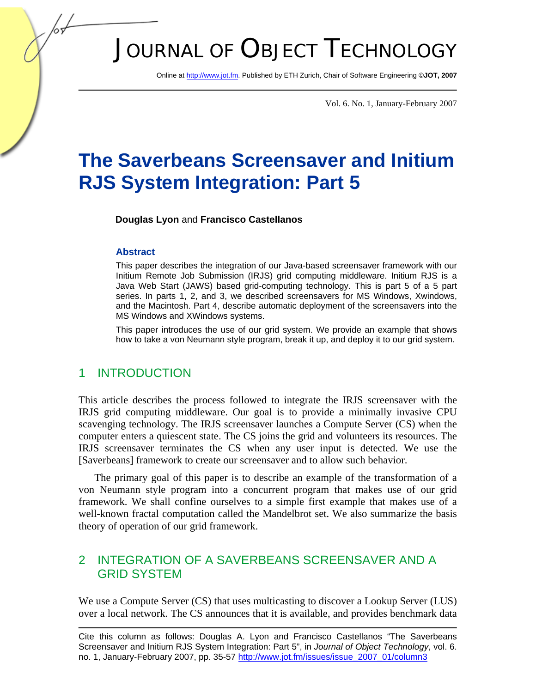# JOURNAL OF OBJECT TECHNOLOGY

Online at http://www.jot.fm. Published by ETH Zurich, Chair of Software Engineering ©**JOT, 2007** 

Vol. 6. No. 1, January-February 2007

## **The Saverbeans Screensaver and Initium RJS System Integration: Part 5**

**Douglas Lyon** and **Francisco Castellanos** 

#### **Abstract**

This paper describes the integration of our Java-based screensaver framework with our Initium Remote Job Submission (IRJS) grid computing middleware. Initium RJS is a Java Web Start (JAWS) based grid-computing technology. This is part 5 of a 5 part series. In parts 1, 2, and 3, we described screensavers for MS Windows, Xwindows, and the Macintosh. Part 4, describe automatic deployment of the screensavers into the MS Windows and XWindows systems.

This paper introduces the use of our grid system. We provide an example that shows how to take a von Neumann style program, break it up, and deploy it to our grid system.

#### 1 INTRODUCTION

This article describes the process followed to integrate the IRJS screensaver with the IRJS grid computing middleware. Our goal is to provide a minimally invasive CPU scavenging technology. The IRJS screensaver launches a Compute Server (CS) when the computer enters a quiescent state. The CS joins the grid and volunteers its resources. The IRJS screensaver terminates the CS when any user input is detected. We use the [Saverbeans] framework to create our screensaver and to allow such behavior.

The primary goal of this paper is to describe an example of the transformation of a von Neumann style program into a concurrent program that makes use of our grid framework. We shall confine ourselves to a simple first example that makes use of a well-known fractal computation called the Mandelbrot set. We also summarize the basis theory of operation of our grid framework.

## 2 INTEGRATION OF A SAVERBEANS SCREENSAVER AND A GRID SYSTEM

We use a Compute Server (CS) that uses multicasting to discover a Lookup Server (LUS) over a local network. The CS announces that it is available, and provides benchmark data

Cite this column as follows: Douglas A. Lyon and Francisco Castellanos "The Saverbeans Screensaver and Initium RJS System Integration: Part 5", in *Journal of Object Technology*, vol. 6. no. 1, January-February 2007, pp. 35-57 http://www.jot.fm/issues/issue\_2007\_01/column3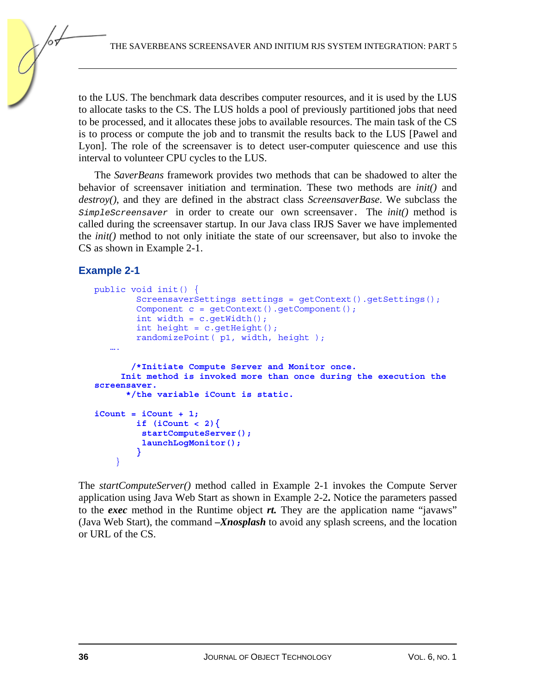to the LUS. The benchmark data describes computer resources, and it is used by the LUS to allocate tasks to the CS. The LUS holds a pool of previously partitioned jobs that need to be processed, and it allocates these jobs to available resources. The main task of the CS is to process or compute the job and to transmit the results back to the LUS [Pawel and Lyon]. The role of the screensaver is to detect user-computer quiescence and use this interval to volunteer CPU cycles to the LUS.

The *SaverBeans* framework provides two methods that can be shadowed to alter the behavior of screensaver initiation and termination. These two methods are *init()* and *destroy()*, and they are defined in the abstract class *ScreensaverBase*. We subclass the *SimpleScreensaver* in order to create our own screensaver. The *init()* method is called during the screensaver startup. In our Java class IRJS Saver we have implemented the *init()* method to not only initiate the state of our screensaver, but also to invoke the CS as shown in Example 2-1.

#### **Example 2-1**

```
public void init() { 
         ScreensaverSettings settings = getContext().getSettings(); 
        Component c = qetContext() . qetComponent() ;int width = c.getWidth();
        int height = c.getHeight();
         randomizePoint( p1, width, height ); 
    …. 
        /*Initiate Compute Server and Monitor once. 
      Init method is invoked more than once during the execution the 
screensaver. 
       */the variable iCount is static. 
iCount = iCount + 1; 
         if (iCount < 2){ 
          startComputeServer(); 
          launchLogMonitor(); 
         } 
     }
```
The *startComputeServer()* method called in Example 2-1 invokes the Compute Server application using Java Web Start as shown in Example 2-2**.** Notice the parameters passed to the *exec* method in the Runtime object *rt.* They are the application name "javaws" (Java Web Start), the command *–Xnosplash* to avoid any splash screens, and the location or URL of the CS.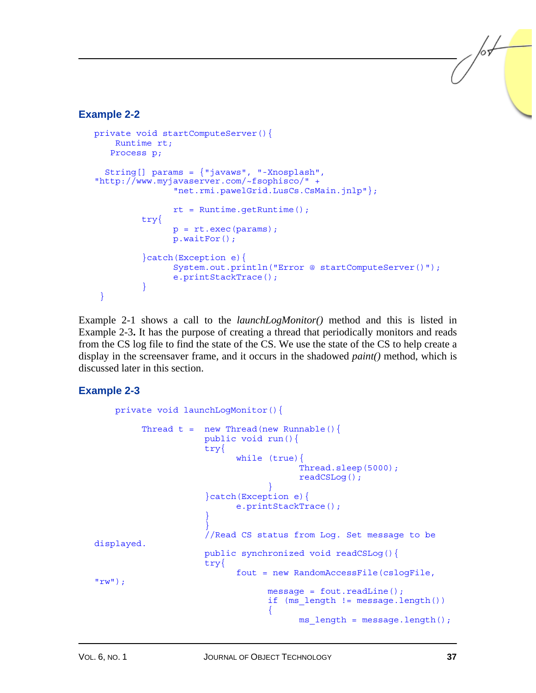#### **Example 2-2**

```
private void startComputeServer(){ 
     Runtime rt; 
    Process p; 
   String[] params = {"javaws", "-Xnosplash", 
"http://www.myjavaserver.com/~fsophisco/" + 
                 "net.rmi.pawelGrid.LusCs.CsMain.jnlp"}; 
                rt = Runtime.qetRuntime();
          try{ 
                 p = rt.exec(params); 
                 p.waitFor(); 
          }catch(Exception e){ 
                 System.out.println("Error @ startComputeServer()"); 
                 e.printStackTrace(); 
 } 
  }
```
Example 2-1 shows a call to the *launchLogMonitor()* method and this is listed in Example 2-3**.** It has the purpose of creating a thread that periodically monitors and reads from the CS log file to find the state of the CS. We use the state of the CS to help create a display in the screensaver frame, and it occurs in the shadowed *paint()* method, which is discussed later in this section.

#### **Example 2-3**

```
 private void launchLogMonitor(){ 
       Thread t = new Thread(new Runnable() public void run(){ 
                   try{ 
                        while (true){ 
                                   Thread.sleep(5000); 
                                   readCSLog(); 
 } 
                   }catch(Exception e){ 
                        e.printStackTrace(); 
 } 
 } 
                   //Read CS status from Log. Set message to be 
displayed. 
                   public synchronized void readCSLog(){ 
                   try{ 
                        fout = new RandomAccessFile(cslogFile, 
"rw") ;
                             message = fout.readLine(); 
                             if (ms length != message.length())
{ }ms length = message.length();
```
 $\frac{1}{6}$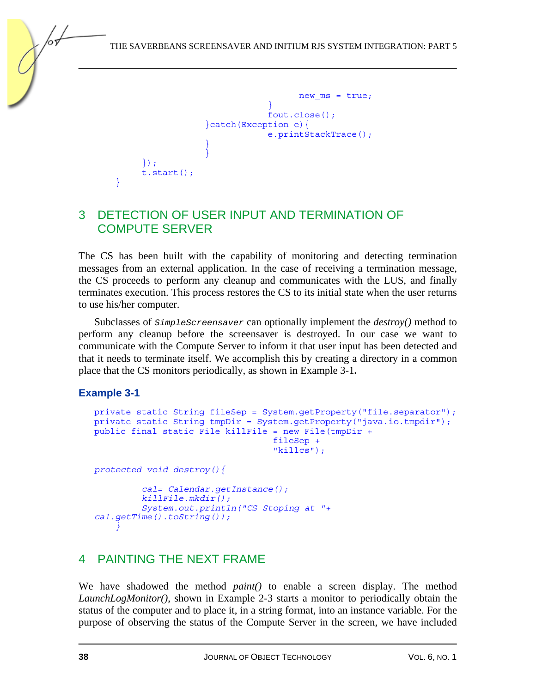```
new ms = true; } 
                      fout.close(); 
              }catch(Exception e){ 
                      e.printStackTrace(); 
 } 
 } 
      }); 
      t.start();
```
## 3 DETECTION OF USER INPUT AND TERMINATION OF COMPUTE SERVER

The CS has been built with the capability of monitoring and detecting termination messages from an external application. In the case of receiving a termination message, the CS proceeds to perform any cleanup and communicates with the LUS, and finally terminates execution. This process restores the CS to its initial state when the user returns to use his/her computer.

Subclasses of *SimpleScreensaver* can optionally implement the *destroy()* method to perform any cleanup before the screensaver is destroyed. In our case we want to communicate with the Compute Server to inform it that user input has been detected and that it needs to terminate itself. We accomplish this by creating a directory in a common place that the CS monitors periodically, as shown in Example 3-1**.** 

## **Example 3-1**

}

```
private static String fileSep = System.getProperty("file.separator"); 
private static String tmpDir = System.getProperty("java.io.tmpdir"); 
public final static File killFile = new File(tmpDir + 
                                    fileSep + 
                                    "killcs");
protected void destroy(){ 
          cal= Calendar.getInstance(); 
          killFile.mkdir(); 
          System.out.println("CS Stoping at "+ 
cal.getTime().toString()); 
 }
```
## 4 PAINTING THE NEXT FRAME

We have shadowed the method *paint()* to enable a screen display. The method *LaunchLogMonitor()*, shown in Example 2-3 starts a monitor to periodically obtain the status of the computer and to place it, in a string format, into an instance variable. For the purpose of observing the status of the Compute Server in the screen, we have included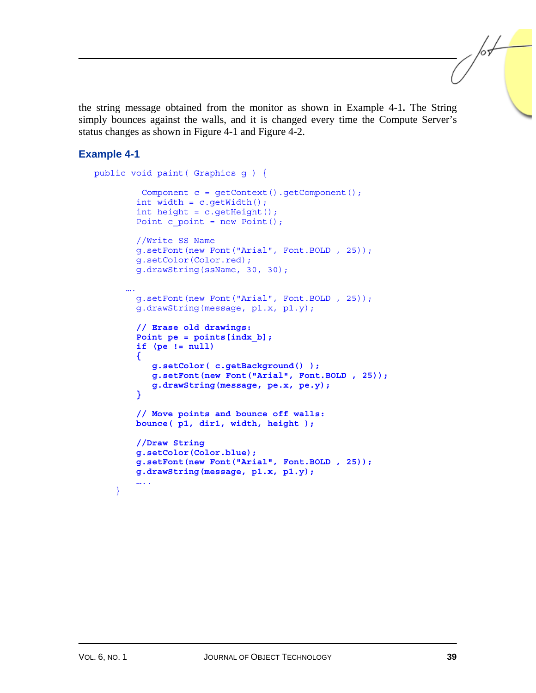the string message obtained from the monitor as shown in Example 4-1**.** The String simply bounces against the walls, and it is changed every time the Compute Server's status changes as shown in Figure 4-1 and Figure 4-2.

#### **Example 4-1**

```
public void paint( Graphics g ) { 
          Component c = getContext().getComponent(); 
         int width = c.getWidth(); 
        int height = c.getHeight();
        Point c point = new Point();
         //Write SS Name 
         g.setFont(new Font("Arial", Font.BOLD , 25)); 
         g.setColor(Color.red); 
         g.drawString(ssName, 30, 30); 
 …. 
         g.setFont(new Font("Arial", Font.BOLD , 25)); 
         g.drawString(message, p1.x, p1.y); 
         // Erase old drawings: 
         Point pe = points[indx_b]; 
         if (pe != null) 
         { 
            g.setColor( c.getBackground() ); 
             g.setFont(new Font("Arial", Font.BOLD , 25)); 
            g.drawString(message, pe.x, pe.y); 
         } 
         // Move points and bounce off walls: 
         bounce( p1, dir1, width, height ); 
         //Draw String 
         g.setColor(Color.blue); 
         g.setFont(new Font("Arial", Font.BOLD , 25)); 
         g.drawString(message, p1.x, p1.y); 
         ….. 
     }
```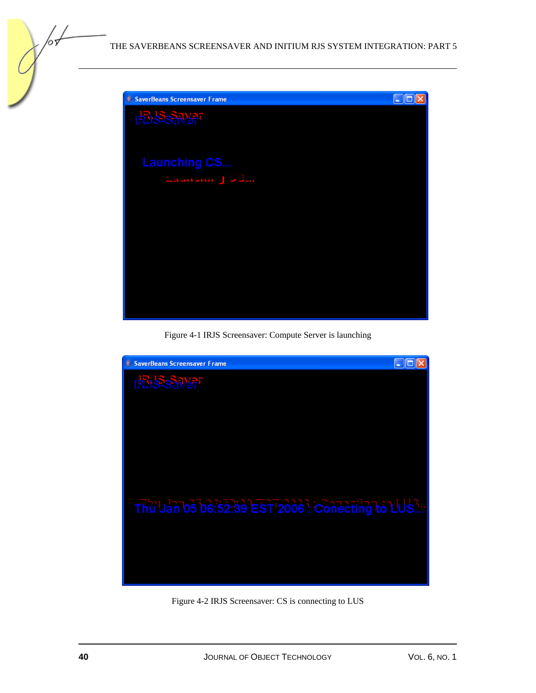

Figure 4-1 IRJS Screensaver: Compute Server is launching



Figure 4-2 IRJS Screensaver: CS is connecting to LUS

/оъ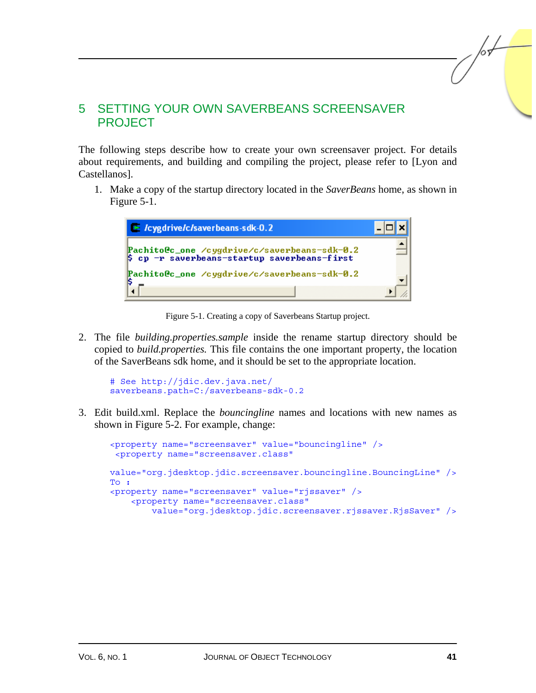## 5 SETTING YOUR OWN SAVERBEANS SCREENSAVER PROJECT

The following steps describe how to create your own screensaver project. For details about requirements, and building and compiling the project, please refer to [Lyon and Castellanos].

1. Make a copy of the startup directory located in the *SaverBeans* home, as shown in Figure 5-1.



Figure 5-1. Creating a copy of Saverbeans Startup project.

2. The file *building.properties.sample* inside the rename startup directory should be copied to *build.properties.* This file contains the one important property, the location of the SaverBeans sdk home, and it should be set to the appropriate location.

```
# See http://jdic.dev.java.net/ 
saverbeans.path=C:/saverbeans-sdk-0.2
```
3. Edit build.xml. Replace the *bouncingline* names and locations with new names as shown in Figure 5-2. For example, change:

```
<property name="screensaver" value="bouncingline" /> 
  <property name="screensaver.class" 
value="org.jdesktop.jdic.screensaver.bouncingline.BouncingLine" /> 
To : 
<property name="screensaver" value="rjssaver" /> 
     <property name="screensaver.class" 
         value="org.jdesktop.jdic.screensaver.rjssaver.RjsSaver" />
```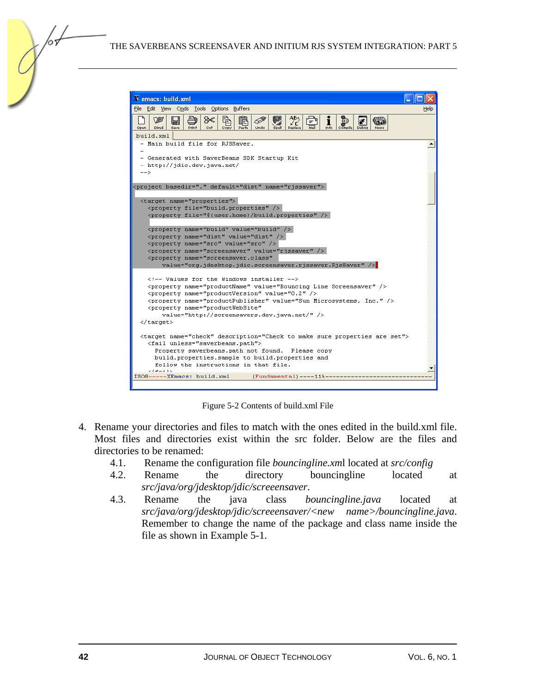

Figure 5-2 Contents of build.xml File

- 4. Rename your directories and files to match with the ones edited in the build.xml file. Most files and directories exist within the src folder. Below are the files and directories to be renamed:
	- 4.1. Rename the configuration file *bouncingline.xm*l located at *src/config*
	- 4.2. Rename the directory bouncingline located at *src/java/org/jdesktop/jdic/screeensaver*.
	- 4.3. Rename the java class *bouncingline.java* located at *src/java/org/jdesktop/jdic/screeensaver/<new name>/bouncingline.java*. Remember to change the name of the package and class name inside the file as shown in Example 5-1.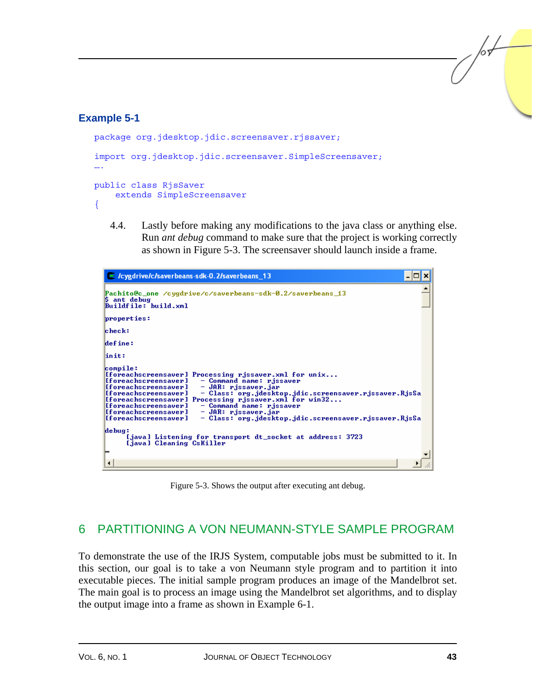## **Example 5-1**

```
package org.jdesktop.jdic.screensaver.rjssaver; 
import org.jdesktop.jdic.screensaver.SimpleScreensaver;
…. 
public class RjsSaver 
     extends SimpleScreensaver 
{
```
4.4. Lastly before making any modifications to the java class or anything else. Run *ant debug* command to make sure that the project is working correctly as shown in Figure 5-3. The screensaver should launch inside a frame.



Figure 5-3. Shows the output after executing ant debug.

## 6 PARTITIONING A VON NEUMANN-STYLE SAMPLE PROGRAM

To demonstrate the use of the IRJS System, computable jobs must be submitted to it. In this section, our goal is to take a von Neumann style program and to partition it into executable pieces. The initial sample program produces an image of the Mandelbrot set. The main goal is to process an image using the Mandelbrot set algorithms, and to display the output image into a frame as shown in Example 6-1.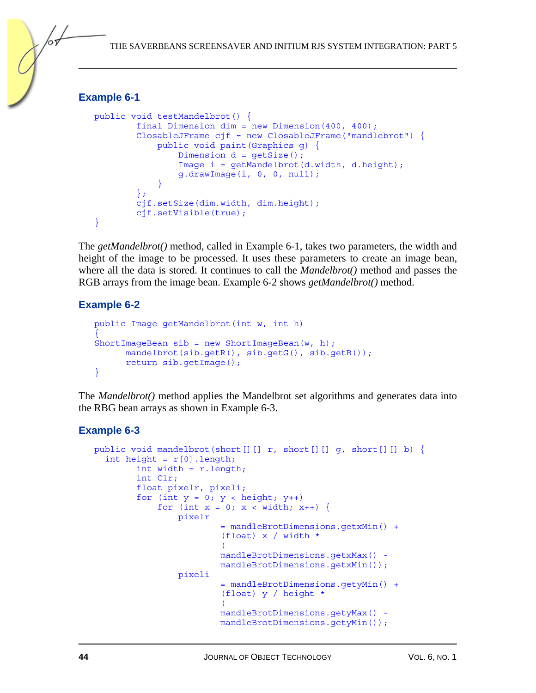#### **Example 6-1**

```
public void testMandelbrot() { 
         final Dimension dim = new Dimension(400, 400); 
         ClosableJFrame cjf = new ClosableJFrame("mandlebrot") { 
             public void paint(Graphics g) { 
                Dimension d = qetsize();
                 Image i = getMandelbrot(d.width, d.height); 
                 g.drawImage(i, 0, 0, null); 
 } 
         }; 
         cjf.setSize(dim.width, dim.height); 
         cjf.setVisible(true); 
}
```
The *getMandelbrot()* method, called in Example 6-1, takes two parameters, the width and height of the image to be processed. It uses these parameters to create an image bean, where all the data is stored. It continues to call the *Mandelbrot()* method and passes the RGB arrays from the image bean. Example 6-2 shows *getMandelbrot()* method.

#### **Example 6-2**

```
public Image getMandelbrot(int w, int h) 
{ 
ShortImageBean sib = new ShortImageBean(w, h); 
       mandelbrot(sib.getR(), sib.getG(), sib.getB()); 
       return sib.getImage(); 
}
```
The *Mandelbrot()* method applies the Mandelbrot set algorithms and generates data into the RBG bean arrays as shown in Example 6-3.

```
public void mandelbrot(short[][] r, short[][] g, short[][] b) { 
  int height = r[0]. length;
         int width = r.length; 
         int Clr; 
         float pixelr, pixeli; 
        for (int y = 0; y < height; y++)
            for (int x = 0; x < width; x++) {
                 pixelr 
                          = mandleBrotDimensions.getxMin() + 
                          (float) x / width * 
\overline{\phantom{a}} mandleBrotDimensions.getxMax() - 
                          mandleBrotDimensions.getxMin()); 
                 pixeli 
                          = mandleBrotDimensions.getyMin() + 
                          (float) y / height * 
\overline{\phantom{a}} mandleBrotDimensions.getyMax() - 
                          mandleBrotDimensions.getyMin());
```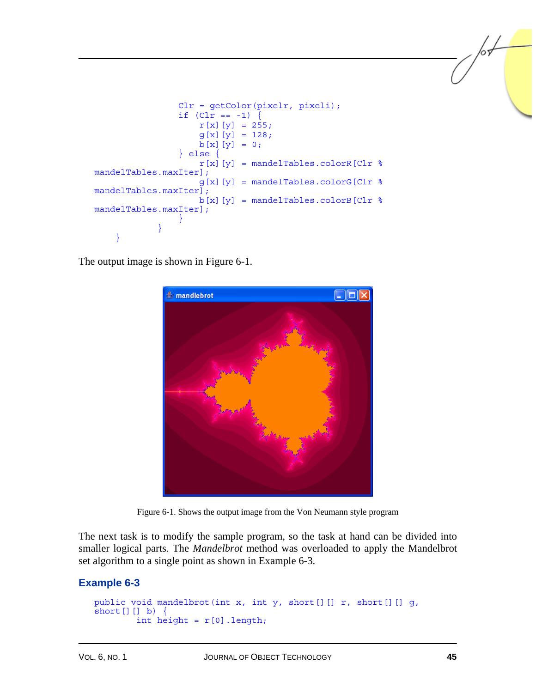```
 Clr = getColor(pixelr, pixeli); 
                if Clr == -1) {
                   r[x][y] = 255;g[x][y] = 128;b[x][y] = 0; } else { 
                   r[x][y] = mandelTables.colorR[Clr %
mandelTables.maxIter]; 
                   g[x][y] = mandelTables.colorG[Clr %mandelTables.maxIter]; 
                   b[x][y] = mandelTables.colorB[Clr \textdegreemandelTables.maxIter]; 
 } 
 } 
     }
```
The output image is shown in Figure 6-1.



Figure 6-1. Shows the output image from the Von Neumann style program

The next task is to modify the sample program, so the task at hand can be divided into smaller logical parts. The *Mandelbrot* method was overloaded to apply the Mandelbrot set algorithm to a single point as shown in Example 6-3.

```
public void mandelbrot(int x, int y, short[][] r, short[][] g,
short[] b) \{int height = r[0].length;
```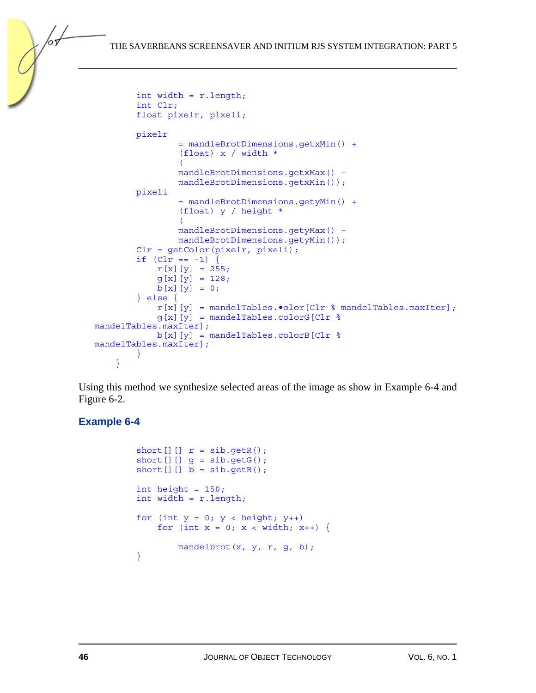```
 int width = r.length; 
               int Clr; 
               float pixelr, pixeli; 
              pixelr 
                             = mandleBrotDimensions.getxMin() + 
                             (float) x / width * 
\sim (b) and (b) and (b) and (b) and (b) and (b) and (b) and (b) and (b) and (b) and (b) and (b) and (b) and (b) and (b) and (b) and (b) and (b) and (b) and (b) and (b) and (b) and (b) and (b) and (b) and (b) and (b) and 
                            mandleBrotDimensions.getxMax() – 
                            mandleBrotDimensions.getxMin()); 
               pixeli 
                            = mandleBrotDimensions.getyMin() + 
                             (float) y / height * 
\sim (b) and (b) and (b) and (b) and (b) and (b) and (b) and (b) and (b) and (b) and (b) and (b) and (b) and (b) and (b) and (b) and (b) and (b) and (b) and (b) and (b) and (b) and (b) and (b) and (b) and (b) and (b) and 
                            mandleBrotDimensions.getyMax() – 
                            mandleBrotDimensions.getyMin()); 
               Clr = getColor(pixelr, pixeli); 
             if (lr == -1) {
                    r[x][y] = 255;g[x][y] = 128;b[x][y] = 0; } else { 
                     r[x][y] = mandelTables.•olor[Clr % mandelTables.maxIter]; 
                     g[x][y] = mandelTables.colorG[Clr %mandelTables.maxIter]; 
                    b[x][y] = mandelTables.colorB[Clr \textdegreemandelTables.maxIter]; 
 } 
        }
```
Using this method we synthesize selected areas of the image as show in Example 6-4 and Figure 6-2.

```
short [] [] r = sib.getR();
        short [] [] g = sib.getG();
        short [] ] b = sib.getB();
        int height = 150;
         int width = r.length; 
        for (int y = 0; y < height; y++)
            for (int x = 0; x < width; x++) {
               mandelbrot(x, y, r, g, b);
 }
```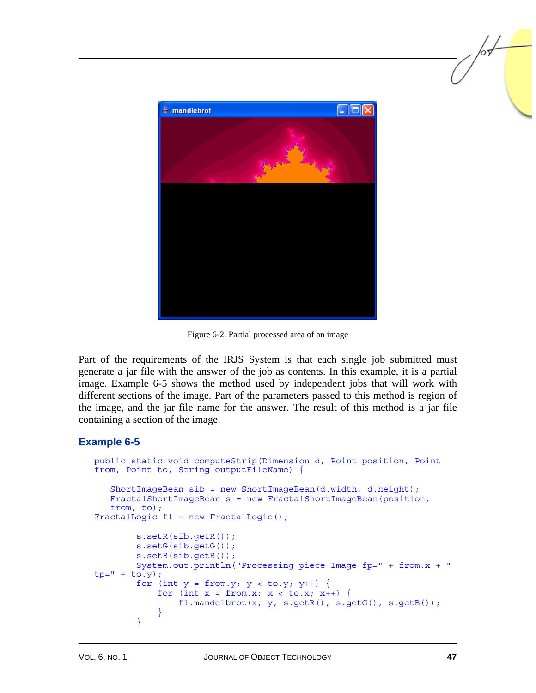

Figure 6-2. Partial processed area of an image

Part of the requirements of the IRJS System is that each single job submitted must generate a jar file with the answer of the job as contents. In this example, it is a partial image. Example 6-5 shows the method used by independent jobs that will work with different sections of the image. Part of the parameters passed to this method is region of the image, and the jar file name for the answer. The result of this method is a jar file containing a section of the image.

```
public static void computeStrip(Dimension d, Point position, Point 
from, Point to, String outputFileName) { 
  ShortImageBean sib = new ShortImageBean(d.width, d.height); 
  FractalShortImageBean s = new FractalShortImageBean(position, 
  from, to); 
FractalLogic fl = new FractalLogic(); 
         s.setR(sib.getR()); 
        s.setG(sib.getG()); 
        s.setB(sib.getB()); 
        System.out.println("Processing piece Image fp=" + from.x + " 
tp = " + to.y);for (int y = from.y; y < to.y; y++) {
            for (int x = from.x; x < to.x; x++) {
                 fl.mandelbrot(x, y, s.getR(), s.getG(), s.getB()); 
 } 
 }
```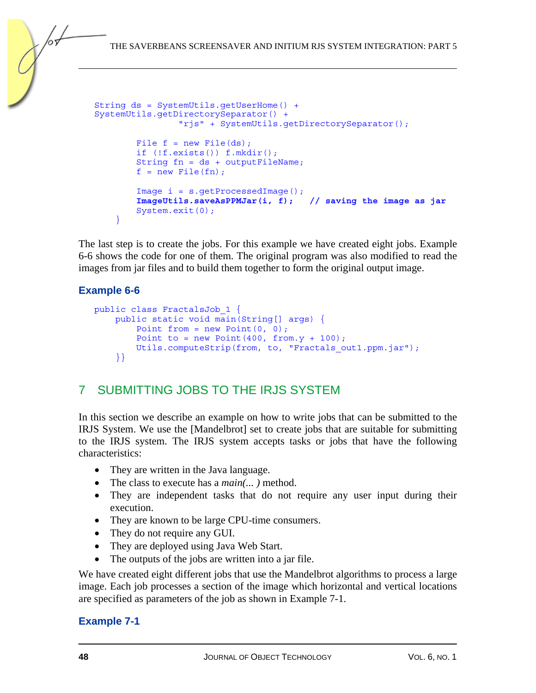```
String ds = SystemUtils.getUserHome() + 
SystemUtils.getDirectorySeparator() + 
                  "rjs" + SystemUtils.getDirectorySeparator(); 
        File f = new File(ds);
         if (!f.exists()) f.mkdir(); 
         String fn = ds + outputFileName; 
        f = new File(fn); Image i = s.getProcessedImage(); 
         ImageUtils.saveAsPPMJar(i, f); // saving the image as jar 
         System.exit(0); 
     }
```
The last step is to create the jobs. For this example we have created eight jobs. Example 6-6 shows the code for one of them. The original program was also modified to read the images from jar files and to build them together to form the original output image.

#### **Example 6-6**

```
public class FractalsJob_1 { 
     public static void main(String[] args) { 
        Point from = new Point(0, 0);
        Point to = new Point(400, from.y + 100);
         Utils.computeStrip(from, to, "Fractals_out1.ppm.jar"); 
     }}
```
## 7 SUBMITTING JOBS TO THE IRJS SYSTEM

In this section we describe an example on how to write jobs that can be submitted to the IRJS System. We use the [Mandelbrot] set to create jobs that are suitable for submitting to the IRJS system. The IRJS system accepts tasks or jobs that have the following characteristics:

- They are written in the Java language.
- The class to execute has a *main(... )* method.
- They are independent tasks that do not require any user input during their execution.
- They are known to be large CPU-time consumers.
- They do not require any GUI.
- They are deployed using Java Web Start.
- The outputs of the jobs are written into a jar file.

We have created eight different jobs that use the Mandelbrot algorithms to process a large image. Each job processes a section of the image which horizontal and vertical locations are specified as parameters of the job as shown in Example 7-1.

#### **Example 7-1**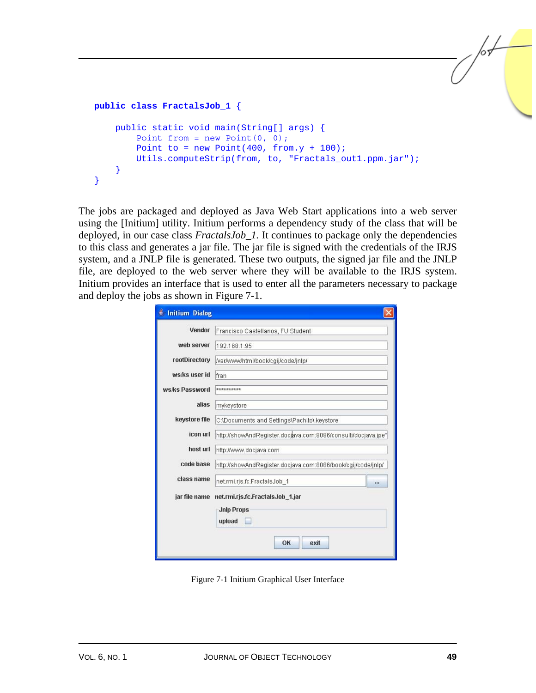```
public class FractalsJob_1 { 
     public static void main(String[] args) { 
        Point from = new Point(0, 0);
        Point to = new Point(400, from.y + 100);
         Utils.computeStrip(from, to, "Fractals_out1.ppm.jar"); 
     } 
}
```
The jobs are packaged and deployed as Java Web Start applications into a web server using the [Initium] utility. Initium performs a dependency study of the class that will be deployed, in our case class *FractalsJob\_1.* It continues to package only the dependencies to this class and generates a jar file. The jar file is signed with the credentials of the IRJS system, and a JNLP file is generated. These two outputs, the signed jar file and the JNLP file, are deployed to the web server where they will be available to the IRJS system. Initium provides an interface that is used to enter all the parameters necessary to package and deploy the jobs as shown in Figure 7-1.

| Initium Dialog |                                                                 |  |  |
|----------------|-----------------------------------------------------------------|--|--|
| Vendor         | Francisco Castellanos, FU Student                               |  |  |
| web server     | 192.168.1.95                                                    |  |  |
| rootDirectory  | /var/www/html/book/cgij/code/jnlp/                              |  |  |
| ws/ks user id  | fran                                                            |  |  |
| ws/ks Password | **********                                                      |  |  |
| alias          | mykeystore                                                      |  |  |
| keystore file  | C:\Documents and Settings\Pachito\.keystore                     |  |  |
| icon url       | http://showAndRegister.docjava.com:8086/consulti/docjava.jpe"   |  |  |
| host url       | http://www.docjava.com                                          |  |  |
| code base      | http://showAndRegister.docjava.com:8086/book/cgij/code/jnlp/    |  |  |
| class name     | net.rmi.ris.fc.FractalsJob 1<br>                                |  |  |
| jar file name  | net.rmi.rjs.fc.FractalsJob 1.jar<br><b>Jnlp Props</b><br>upload |  |  |
|                | OK<br>exit                                                      |  |  |

Figure 7-1 Initium Graphical User Interface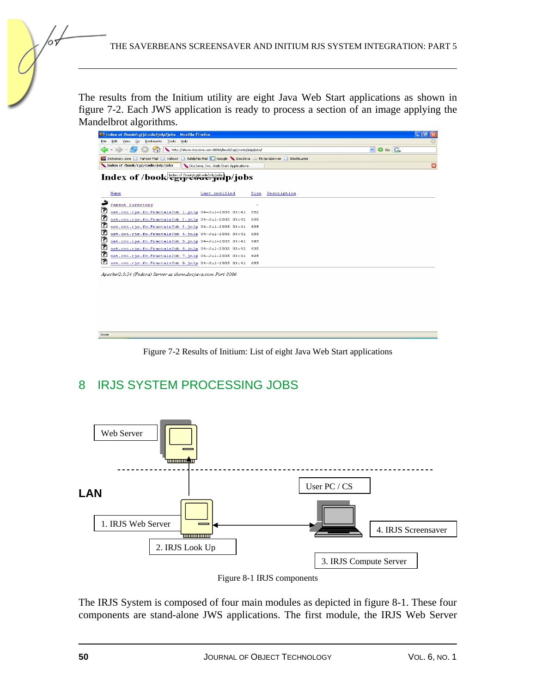The results from the Initium utility are eight Java Web Start applications as shown in figure 7-2. Each JWS application is ready to process a section of an image applying the Mandelbrot algorithms.

| index of /book/cgij/code/jnlp/jobs - Mozilla Firefox                  |                                                                                                      |             | $\Box$ e $\bf x$                   |  |
|-----------------------------------------------------------------------|------------------------------------------------------------------------------------------------------|-------------|------------------------------------|--|
| Go Bookmarks Tools Help<br>File<br>Edit<br>View                       |                                                                                                      |             |                                    |  |
| æ,                                                                    | http://show.docjava.com:8086/book/cgij/code/jnlp/jobs/                                               |             | $\circ$ Go $\circ$<br>$\checkmark$ |  |
|                                                                       | Dictionary.com Nahoo! Mail Nahoo! Nahoo! Adelphia Mail G Google DocJava W MyjavaServer B Blockbuster |             |                                    |  |
| Index of /book/cgij/code/jnlp/jobs                                    | DocJava, Inc. Web Start Applications                                                                 |             | $\Box$                             |  |
| Index of /book holds of /book/cgil/code/jnlp/jobs p/jobs              |                                                                                                      |             |                                    |  |
| Name                                                                  | Last modified<br>Size                                                                                | Description |                                    |  |
| Parent Directory                                                      |                                                                                                      |             |                                    |  |
| C<br>net.rmi.rjs.fc.FractalsJob 1.jnlp 04-Jul-2005 03:41              | 652                                                                                                  |             |                                    |  |
| ₽<br>net.rmi.rjs.fc.FractalsJob 2.jnlp 04-Jul-2005 03:41              | 695                                                                                                  |             |                                    |  |
| ₽<br>net.rmi.rjs.fc.FractalsJob 3.jnlp 04-Jul-2005 03:41              | 695                                                                                                  |             |                                    |  |
| ₹<br>net.rmi.rjs.fc.FractalsJob 4.jnlp 04-Jul-2005 03:41              | 695                                                                                                  |             |                                    |  |
| ₽<br>net.rmi.rjs.fc.FractalsJob 5.jnlp 04-Jul-2005 03:41<br>$\bullet$ | 695                                                                                                  |             |                                    |  |
| net.rmi.rjs.fc.FractalsJob 6.jnlp 04-Jul-2005 03:41<br>₽              | 695                                                                                                  |             |                                    |  |
| net.rmi.rjs.fc.FractalsJob 7.jnlp 04-Jul-2005 03:41<br>D              | 695                                                                                                  |             |                                    |  |
| net.rmi.rjs.fc.FractalsJob 8.jnlp 04-Jul-2005 03:41 695               |                                                                                                      |             |                                    |  |
| Apache/2.0.54 (Fedora) Server at show.docjava.com Port 8086           |                                                                                                      |             |                                    |  |
|                                                                       |                                                                                                      |             |                                    |  |
|                                                                       |                                                                                                      |             |                                    |  |
|                                                                       |                                                                                                      |             |                                    |  |
|                                                                       |                                                                                                      |             |                                    |  |
|                                                                       |                                                                                                      |             |                                    |  |
|                                                                       |                                                                                                      |             |                                    |  |
|                                                                       |                                                                                                      |             |                                    |  |
| Done                                                                  |                                                                                                      |             |                                    |  |

Figure 7-2 Results of Initium: List of eight Java Web Start applications

## 8 IRJS SYSTEM PROCESSING JOBS



Figure 8-1 IRJS components

The IRJS System is composed of four main modules as depicted in figure 8-1. These four components are stand-alone JWS applications. The first module, the IRJS Web Server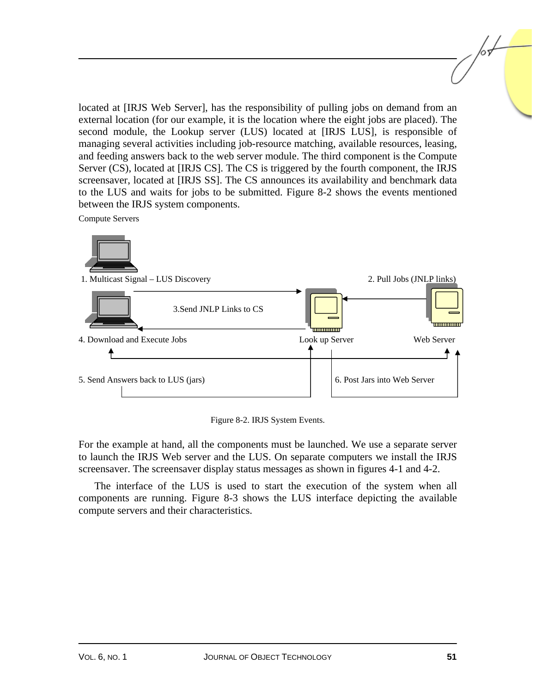located at [IRJS Web Server], has the responsibility of pulling jobs on demand from an external location (for our example, it is the location where the eight jobs are placed). The second module, the Lookup server (LUS) located at [IRJS LUS], is responsible of managing several activities including job-resource matching, available resources, leasing, and feeding answers back to the web server module. The third component is the Compute Server (CS), located at [IRJS CS]. The CS is triggered by the fourth component, the IRJS screensaver, located at [IRJS SS]. The CS announces its availability and benchmark data to the LUS and waits for jobs to be submitted. Figure 8-2 shows the events mentioned between the IRJS system components.

Compute Servers



Figure 8-2. IRJS System Events.

For the example at hand, all the components must be launched. We use a separate server to launch the IRJS Web server and the LUS. On separate computers we install the IRJS screensaver. The screensaver display status messages as shown in figures 4-1 and 4-2.

The interface of the LUS is used to start the execution of the system when all components are running. Figure 8-3 shows the LUS interface depicting the available compute servers and their characteristics.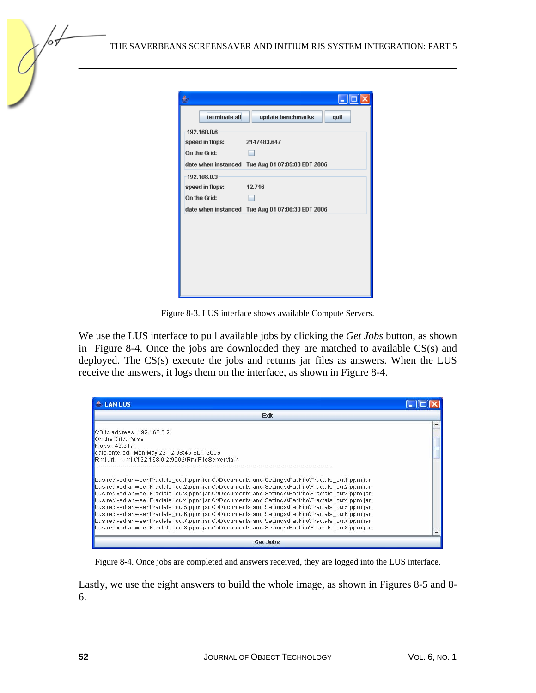| 4               |                                                  |
|-----------------|--------------------------------------------------|
| terminate all   | update benchmarks<br>quit                        |
| 192.168.0.6     |                                                  |
| speed in flops: | 2147483.647                                      |
| On the Grid:    |                                                  |
|                 | date when instanced Tue Aug 01 07:05:00 EDT 2006 |
| 192.168.0.3     |                                                  |
| speed in flops: | 12.716                                           |
| On the Grid:    |                                                  |
|                 | date when instanced Tue Aug 01 07:06:30 EDT 2006 |
|                 |                                                  |
|                 |                                                  |
|                 |                                                  |
|                 |                                                  |
|                 |                                                  |
|                 |                                                  |
|                 |                                                  |

Figure 8-3. LUS interface shows available Compute Servers.

We use the LUS interface to pull available jobs by clicking the *Get Jobs* button, as shown in Figure 8-4. Once the jobs are downloaded they are matched to available CS(s) and deployed. The CS(s) execute the jobs and returns jar files as answers. When the LUS receive the answers, it logs them on the interface, as shown in Figure 8-4.

| <b>LAN LUS</b>                                                                                                                                                                                                                                                                                                                                                                                                                                                                                                                                                                                                                                                                                                                                                                                                                         |  |
|----------------------------------------------------------------------------------------------------------------------------------------------------------------------------------------------------------------------------------------------------------------------------------------------------------------------------------------------------------------------------------------------------------------------------------------------------------------------------------------------------------------------------------------------------------------------------------------------------------------------------------------------------------------------------------------------------------------------------------------------------------------------------------------------------------------------------------------|--|
| Exit                                                                                                                                                                                                                                                                                                                                                                                                                                                                                                                                                                                                                                                                                                                                                                                                                                   |  |
| CS Ip address: 192.168.0.2                                                                                                                                                                                                                                                                                                                                                                                                                                                                                                                                                                                                                                                                                                                                                                                                             |  |
| On the Grid: false                                                                                                                                                                                                                                                                                                                                                                                                                                                                                                                                                                                                                                                                                                                                                                                                                     |  |
| Flops: 42.917                                                                                                                                                                                                                                                                                                                                                                                                                                                                                                                                                                                                                                                                                                                                                                                                                          |  |
| date entered: Mon May 29 12:08:45 EDT 2006                                                                                                                                                                                                                                                                                                                                                                                                                                                                                                                                                                                                                                                                                                                                                                                             |  |
| RmiUrl: rmi://192.168.0.2:9002/RmiFileServerMain                                                                                                                                                                                                                                                                                                                                                                                                                                                                                                                                                                                                                                                                                                                                                                                       |  |
| Lus recived anwser Fractals- out1.ppm.jar C:\Documents and Settings\Pachito\Fractals- out1.ppm.jar<br>Lus recived anwser Fractals lout2.ppm.jar C:\Documents and Settings\Pachito\Fractals lout2.ppm.jar<br>Lus recived anwser Fractals_out3.ppm.jar C:\Documents and Settings\Pachito\Fractals_out3.ppm.jar<br>Lus recived anwser Fractals, out4.ppm.jar C:\Documents and Settings\Pachito\Fractals, out4.ppm.jar<br>Lus recived anwser Fractals lout5.ppm.jar C:\Documents and Settings\Pachito\Fractals lout5.ppm.jar<br>Lus recived anwser Fractals lout6.ppm.jar C:\Documents and Settings\Pachito\Fractals lout6.ppm.jar<br>Lus recived anwser Fractals_out7.ppm.jar C:\Documents and Settings\Pachito\Fractals_out7.ppm.jar<br>Lus recived anwser Fractals_out8.ppm.jar C:\Documents and Settings\Pachito\Fractals_out8.ppm.jar |  |
| Get Jobs                                                                                                                                                                                                                                                                                                                                                                                                                                                                                                                                                                                                                                                                                                                                                                                                                               |  |

Figure 8-4. Once jobs are completed and answers received, they are logged into the LUS interface.

Lastly, we use the eight answers to build the whole image, as shown in Figures 8-5 and 8- 6.

65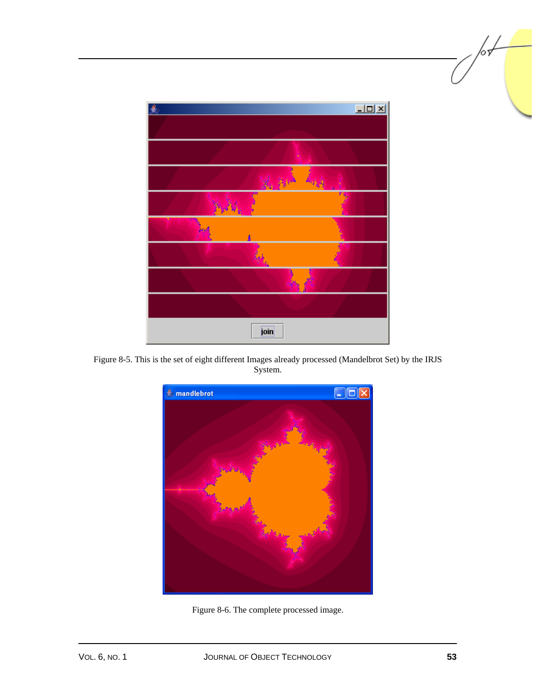| 急                           | $\Box$ D $\times$ |
|-----------------------------|-------------------|
|                             |                   |
|                             |                   |
| Has Haven<br><b>ANY DIA</b> |                   |
| فعالى<br>м<br>ι.            |                   |
|                             |                   |
|                             |                   |
|                             |                   |
|                             |                   |
| join                        |                   |

Figure 8-5. This is the set of eight different Images already processed (Mandelbrot Set) by the IRJS System.



Figure 8-6. The complete processed image.

љ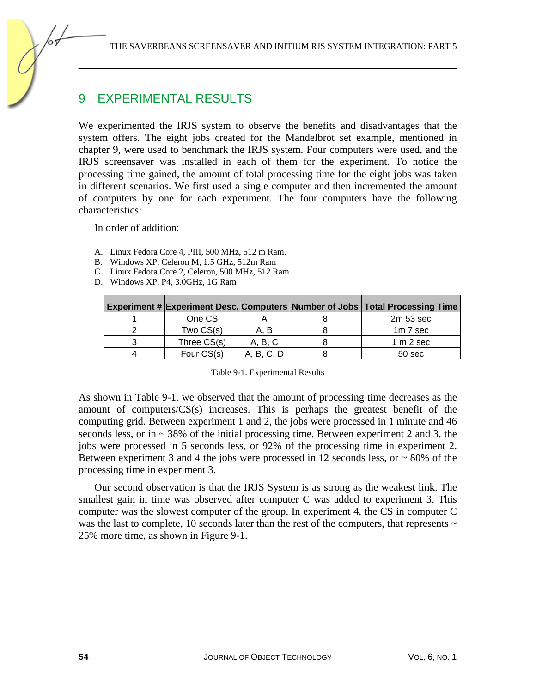## 9 EXPERIMENTAL RESULTS

We experimented the IRJS system to observe the benefits and disadvantages that the system offers. The eight jobs created for the Mandelbrot set example, mentioned in chapter 9, were used to benchmark the IRJS system. Four computers were used, and the IRJS screensaver was installed in each of them for the experiment. To notice the processing time gained, the amount of total processing time for the eight jobs was taken in different scenarios. We first used a single computer and then incremented the amount of computers by one for each experiment. The four computers have the following characteristics:

In order of addition:

- A. Linux Fedora Core 4, PIII, 500 MHz, 512 m Ram.
- B. Windows XP, Celeron M, 1.5 GHz, 512m Ram
- C. Linux Fedora Core 2, Celeron, 500 MHz, 512 Ram
- D. Windows XP, P4, 3.0GHz, 1G Ram

|             |            | Experiment # Experiment Desc. Computers Number of Jobs   Total Processing Time |
|-------------|------------|--------------------------------------------------------------------------------|
| One CS      |            | $2m53$ sec                                                                     |
| Two CS(s)   | A. B       | $1m7$ sec                                                                      |
| Three CS(s) | A, B, C    | 1 m 2 sec                                                                      |
| Four CS(s)  | A, B, C, D | 50 <sub>sec</sub>                                                              |

| Table 9-1. Experimental Results |  |
|---------------------------------|--|
|                                 |  |

As shown in Table 9-1, we observed that the amount of processing time decreases as the amount of computers/CS(s) increases. This is perhaps the greatest benefit of the computing grid. Between experiment 1 and 2, the jobs were processed in 1 minute and 46 seconds less, or in  $\sim$  38% of the initial processing time. Between experiment 2 and 3, the jobs were processed in 5 seconds less, or 92% of the processing time in experiment 2. Between experiment 3 and 4 the jobs were processed in 12 seconds less, or  $\sim 80\%$  of the processing time in experiment 3.

Our second observation is that the IRJS System is as strong as the weakest link. The smallest gain in time was observed after computer C was added to experiment 3. This computer was the slowest computer of the group. In experiment 4, the CS in computer C was the last to complete, 10 seconds later than the rest of the computers, that represents  $\sim$ 25% more time, as shown in Figure 9-1.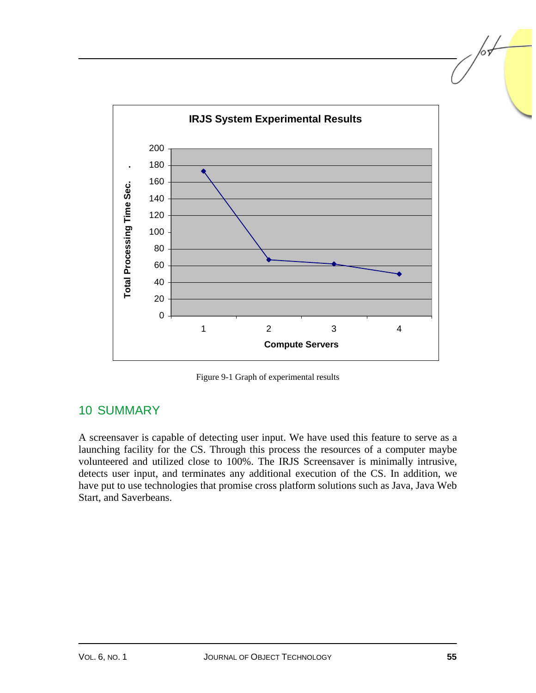

Figure 9-1 Graph of experimental results

## 10 SUMMARY

A screensaver is capable of detecting user input. We have used this feature to serve as a launching facility for the CS. Through this process the resources of a computer maybe volunteered and utilized close to 100%. The IRJS Screensaver is minimally intrusive, detects user input, and terminates any additional execution of the CS. In addition, we have put to use technologies that promise cross platform solutions such as Java, Java Web Start, and Saverbeans.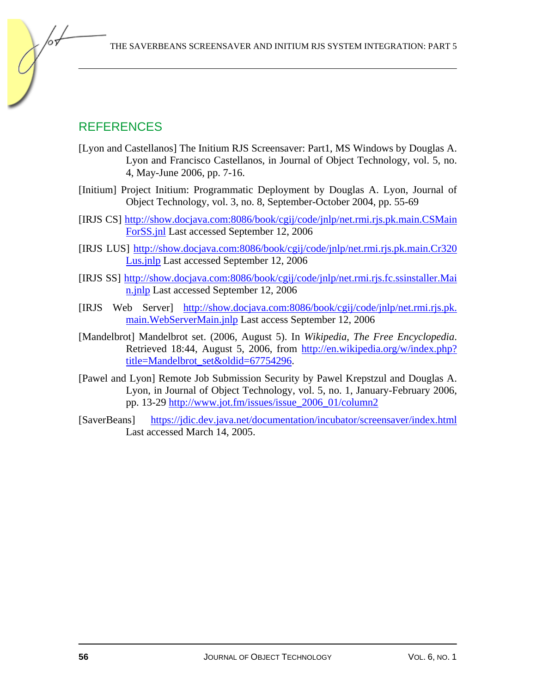## REFERENCES

- [Lyon and Castellanos] The Initium RJS Screensaver: Part1, MS Windows by Douglas A. Lyon and Francisco Castellanos, in Journal of Object Technology, vol. 5, no. 4, May-June 2006, pp. 7-16.
- [Initium] Project Initium: Programmatic Deployment by Douglas A. Lyon, Journal of Object Technology, vol. 3, no. 8, September-October 2004, pp. 55-69
- [IRJS CS] http://show.docjava.com:8086/book/cgij/code/jnlp/net.rmi.rjs.pk.main.CSMain ForSS.jnl Last accessed September 12, 2006
- [IRJS LUS] http://show.docjava.com:8086/book/cgij/code/jnlp/net.rmi.rjs.pk.main.Cr320 Lus.jnlp Last accessed September 12, 2006
- [IRJS SS] http://show.docjava.com:8086/book/cgij/code/jnlp/net.rmi.rjs.fc.ssinstaller.Mai n.jnlp Last accessed September 12, 2006
- [IRJS Web Server] http://show.docjava.com:8086/book/cgij/code/jnlp/net.rmi.rjs.pk. main.WebServerMain.jnlp Last access September 12, 2006
- [Mandelbrot] Mandelbrot set. (2006, August 5). In *Wikipedia, The Free Encyclopedia*. Retrieved 18:44, August 5, 2006, from http://en.wikipedia.org/w/index.php? title=Mandelbrot\_set&oldid=67754296.
- [Pawel and Lyon] Remote Job Submission Security by Pawel Krepstzul and Douglas A. Lyon, in Journal of Object Technology, vol. 5, no. 1, January-February 2006, pp. 13-29 http://www.jot.fm/issues/issue\_2006\_01/column2
- [SaverBeans] https://jdic.dev.java.net/documentation/incubator/screensaver/index.html Last accessed March 14, 2005.